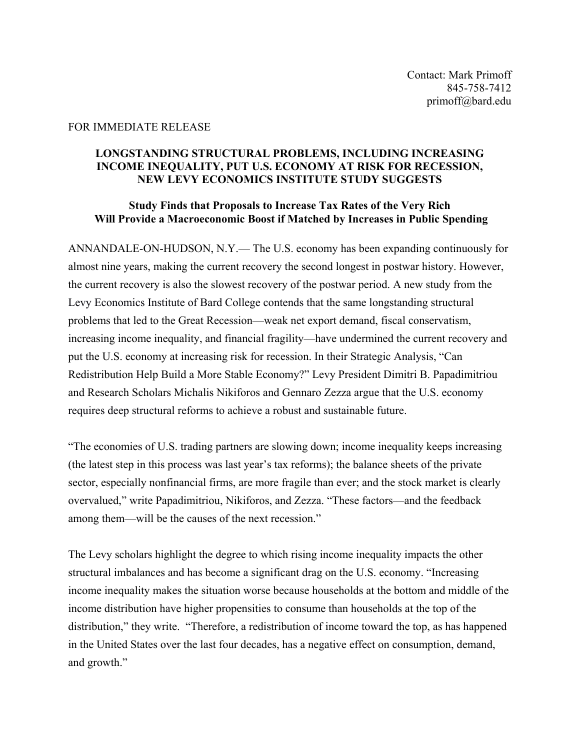## FOR IMMEDIATE RELEASE

## **LONGSTANDING STRUCTURAL PROBLEMS, INCLUDING INCREASING INCOME INEQUALITY, PUT U.S. ECONOMY AT RISK FOR RECESSION, NEW LEVY ECONOMICS INSTITUTE STUDY SUGGESTS**

## **Study Finds that Proposals to Increase Tax Rates of the Very Rich Will Provide a Macroeconomic Boost if Matched by Increases in Public Spending**

ANNANDALE-ON-HUDSON, N.Y.— The U.S. economy has been expanding continuously for almost nine years, making the current recovery the second longest in postwar history. However, the current recovery is also the slowest recovery of the postwar period. A new study from the Levy Economics Institute of Bard College contends that the same longstanding structural problems that led to the Great Recession—weak net export demand, fiscal conservatism, increasing income inequality, and financial fragility—have undermined the current recovery and put the U.S. economy at increasing risk for recession. In their Strategic Analysis, "Can Redistribution Help Build a More Stable Economy?" Levy President Dimitri B. Papadimitriou and Research Scholars Michalis Nikiforos and Gennaro Zezza argue that the U.S. economy requires deep structural reforms to achieve a robust and sustainable future.

"The economies of U.S. trading partners are slowing down; income inequality keeps increasing (the latest step in this process was last year's tax reforms); the balance sheets of the private sector, especially nonfinancial firms, are more fragile than ever; and the stock market is clearly overvalued," write Papadimitriou, Nikiforos, and Zezza. "These factors—and the feedback among them—will be the causes of the next recession."

The Levy scholars highlight the degree to which rising income inequality impacts the other structural imbalances and has become a significant drag on the U.S. economy. "Increasing income inequality makes the situation worse because households at the bottom and middle of the income distribution have higher propensities to consume than households at the top of the distribution," they write. "Therefore, a redistribution of income toward the top, as has happened in the United States over the last four decades, has a negative effect on consumption, demand, and growth."